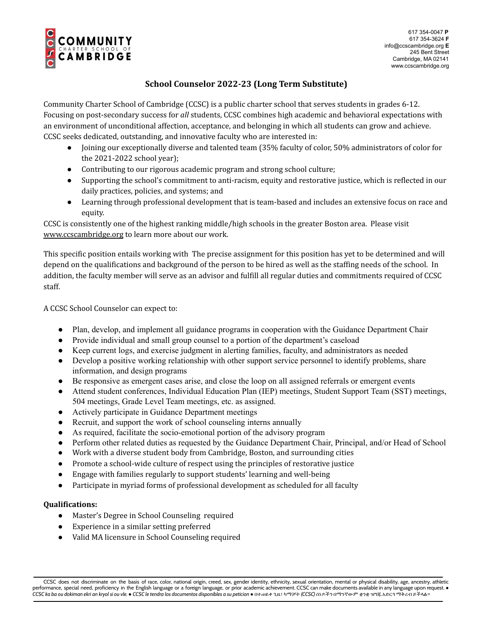

## **School Counselor 2022-23 (Long Term Substitute)**

Community Charter School of Cambridge (CCSC) is a public charter school that serves students in grades 6-12. Focusing on post-secondary success for *all* students, CCSC combines high academic and behavioral expectations with an environment of unconditional affection, acceptance, and belonging in which all students can grow and achieve. CCSC seeks dedicated, outstanding, and innovative faculty who are interested in:

- Joining our exceptionally diverse and talented team (35% faculty of color, 50% administrators of color for the 2021-2022 school year);
- Contributing to our rigorous academic program and strong school culture;
- Supporting the school's commitment to anti-racism, equity and restorative justice, which is reflected in our daily practices, policies, and systems; and
- Learning through professional development that is team-based and includes an extensive focus on race and equity.

CCSC is consistently one of the highest ranking middle/high schools in the greater Boston area. Please visi[t](http://www.ccscambridge.org/) [www.ccscambridge.org](http://www.ccscambridge.org/) to learn more about our work.

This specific position entails working with The precise assignment for this position has yet to be determined and will depend on the qualifications and background of the person to be hired as well as the staffing needs of the school. In addition, the faculty member will serve as an advisor and fulfill all regular duties and commitments required of CCSC staff.

A CCSC School Counselor can expect to:

- Plan, develop, and implement all guidance programs in cooperation with the Guidance Department Chair
- Provide individual and small group counsel to a portion of the department's caseload
- Keep current logs, and exercise judgment in alerting families, faculty, and administrators as needed
- Develop a positive working relationship with other support service personnel to identify problems, share information, and design programs
- Be responsive as emergent cases arise, and close the loop on all assigned referrals or emergent events
- Attend student conferences, Individual Education Plan (IEP) meetings, Student Support Team (SST) meetings, 504 meetings, Grade Level Team meetings, etc. as assigned.
- Actively participate in Guidance Department meetings
- Recruit, and support the work of school counseling interns annually
- As required, facilitate the socio-emotional portion of the advisory program
- Perform other related duties as requested by the Guidance Department Chair, Principal, and/or Head of School
- Work with a diverse student body from Cambridge, Boston, and surrounding cities
- Promote a school-wide culture of respect using the principles of restorative justice
- Engage with families regularly to support students' learning and well-being
- Participate in myriad forms of professional development as scheduled for all faculty

## **Qualifications:**

- Master's Degree in School Counseling required
- Experience in a similar setting preferred
- Valid MA licensure in School Counseling required

CCSC does not discriminate on the basis of race, color, national origin, creed, sex, gender identity, ethnicity, sexual orientation, mental or physical disability, age, ancestry, athletic performance, special need, proficiency in the English language or a foreign language, or prior academic achievement. CCSC can make documents available in any language upon request. ● CCSC ka ba ou dokiman ekri an kryol si ou vle. • CCSC le tendra los documentos disponibles a su peticion • በተ ጥራ ጊዜ፣ ካማቻት (CCSC) ሰነዶችን በማንኛውም ቋንቋ ዝግጁ እድርጎ ማቅረብ ይችላል።